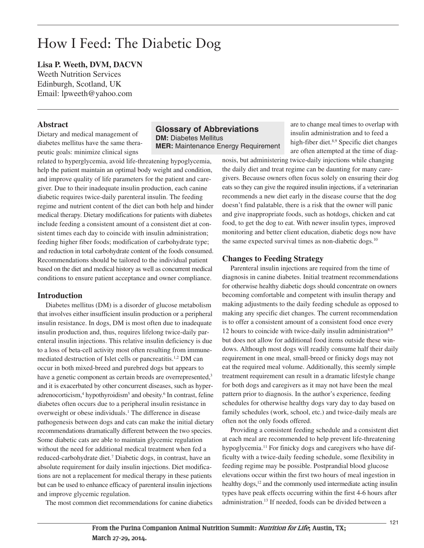# How I Feed: The Diabetic Dog

**Lisa P. Weeth, DVM, DACVN** Weeth Nutrition Services Edinburgh, Scotland, UK Email: lpweeth@yahoo.com

#### **Abstract**

Dietary and medical management of diabetes mellitus have the same therapeutic goals: minimize clinical signs

related to hyperglycemia, avoid life-threatening hypoglycemia, help the patient maintain an optimal body weight and condition, and improve quality of life parameters for the patient and caregiver. Due to their inadequate insulin production, each canine diabetic requires twice-daily parenteral insulin. The feeding regime and nutrient content of the diet can both help and hinder medical therapy. Dietary modifications for patients with diabetes include feeding a consistent amount of a consistent diet at consistent times each day to coincide with insulin administration; feeding higher fiber foods; modification of carbohydrate type; and reduction in total carbohydrate content of the foods consumed. Recommendations should be tailored to the individual patient based on the diet and medical history as well as concurrent medical

conditions to ensure patient acceptance and owner compliance.

### **Introduction**

Diabetes mellitus (DM) is a disorder of glucose metabolism that involves either insufficient insulin production or a peripheral insulin resistance. In dogs, DM is most often due to inadequate insulin production and, thus, requires lifelong twice-daily parenteral insulin injections. This relative insulin deficiency is due to a loss of beta-cell activity most often resulting from immunemediated destruction of Islet cells or pancreatitis.<sup>1,2</sup> DM can occur in both mixed-breed and purebred dogs but appears to have a genetic component as certain breeds are overrepresented,<sup>3</sup> and it is exacerbated by other concurrent diseases, such as hyperadrenocorticism,<sup>4</sup> hypothyroidism<sup>5</sup> and obesity.<sup>6</sup> In contrast, feline diabetes often occurs due to a peripheral insulin resistance in overweight or obese individuals. <sup>1</sup> The difference in disease pathogenesis between dogs and cats can make the initial dietary recommendations dramatically different between the two species. Some diabetic cats are able to maintain glycemic regulation without the need for additional medical treatment when fed a reduced-carbohydrate diet. <sup>7</sup> Diabetic dogs, in contrast, have an absolute requirement for daily insulin injections. Diet modifications are not a replacement for medical therapy in these patients but can be used to enhance efficacy of parenteral insulin injections and improve glycemic regulation.

The most common diet recommendations for canine diabetics

### **Glossary of Abbreviations DM:** Diabetes Mellitus **MER:** Maintenance Energy Requirement

are to change meal times to overlap with insulin administration and to feed a high-fiber diet. 8,9 Specific diet changes are often attempted at the time of diag-

nosis, but administering twice-daily injections while changing the daily diet and treat regime can be daunting for many caregivers. Because owners often focus solely on ensuring their dog eats so they can give the required insulin injections, if a veterinarian recommends a new diet early in the disease course that the dog doesn't find palatable, there is a risk that the owner will panic and give inappropriate foods, such as hotdogs, chicken and cat food, to get the dog to eat. With newer insulin types, improved monitoring and better client education, diabetic dogs now have the same expected survival times as non-diabetic dogs.<sup>10</sup>

### **Changes to Feeding Strategy**

Parenteral insulin injections are required from the time of diagnosis in canine diabetes. Initial treatment recommendations for otherwise healthy diabetic dogs should concentrate on owners becoming comfortable and competent with insulin therapy and making adjustments to the daily feeding schedule as opposed to making any specific diet changes. The current recommendation is to offer a consistent amount of a consistent food once every 12 hours to coincide with twice-daily insulin administration $8,9$ but does not allow for additional food items outside these windows. Although most dogs will readily consume half their daily requirement in one meal, small-breed or finicky dogs may not eat the required meal volume. Additionally, this seemly simple treatment requirement can result in a dramatic lifestyle change for both dogs and caregivers as it may not have been the meal pattern prior to diagnosis. In the author's experience, feeding schedules for otherwise healthy dogs vary day to day based on family schedules (work, school, etc.) and twice-daily meals are often not the only foods offered.

Providing a consistent feeding schedule and a consistent diet at each meal are recommended to help prevent life-threatening hypoglycemia. <sup>11</sup> For finicky dogs and caregivers who have difficulty with a twice-daily feeding schedule, some flexibility in feeding regime may be possible. Postprandial blood glucose elevations occur within the first two hours of meal ingestion in healthy dogs,<sup>12</sup> and the commonly used intermediate acting insulin types have peak effects occurring within the first 4-6 hours after administration. <sup>13</sup> If needed, foods can be divided between a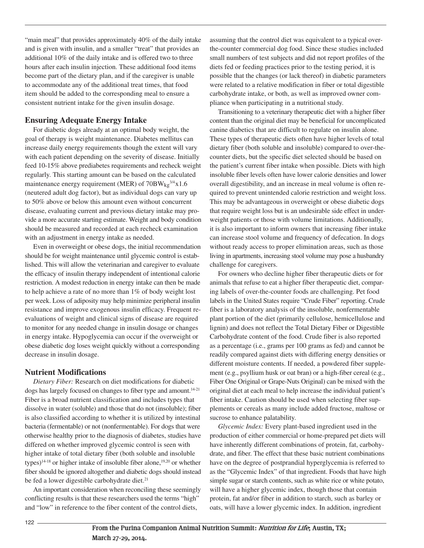"main meal" that provides approximately 40% of the daily intake and is given with insulin, and a smaller "treat" that provides an additional 10% of the daily intake and is offered two to three hours after each insulin injection. These additional food items become part of the dietary plan, and if the caregiver is unable to accommodate any of the additional treat times, that food item should be added to the corresponding meal to ensure a consistent nutrient intake for the given insulin dosage.

### **Ensuring Adequate Energy Intake**

For diabetic dogs already at an optimal body weight, the goal of therapy is weight maintenance. Diabetes mellitus can increase daily energy requirements though the extent will vary with each patient depending on the severity of disease. Initially feed 10-15% above prediabetes requirements and recheck weight regularly. This starting amount can be based on the calculated maintenance energy requirement (MER) of  $70BW_{kg}^{3/4}x1.6$ (neutered adult dog factor), but as individual dogs can vary up to 50% above or below this amount even without concurrent disease, evaluating current and previous dietary intake may provide a more accurate starting estimate. Weight and body condition should be measured and recorded at each recheck examination with an adjustment in energy intake as needed.

Even in overweight or obese dogs, the initial recommendation should be for weight maintenance until glycemic control is established. This will allow the veterinarian and caregiver to evaluate the efficacy of insulin therapy independent of intentional calorie restriction. A modest reduction in energy intake can then be made to help achieve a rate of no more than 1% of body weight lost per week. Loss of adiposity may help minimize peripheral insulin resistance and improve exogenous insulin efficacy. Frequent reevaluations of weight and clinical signs of disease are required to monitor for any needed change in insulin dosage or changes in energy intake. Hypoglycemia can occur if the overweight or obese diabetic dog loses weight quickly without a corresponding decrease in insulin dosage.

### **Nutrient Modifications**

*Dietary Fiber:* Research on diet modifications for diabetic dogs has largely focused on changes to fiber type and amount.<sup>14-21</sup> Fiber is a broad nutrient classification and includes types that dissolve in water (soluble) and those that do not (insoluble); fiber is also classified according to whether it is utilized by intestinal bacteria (fermentable) or not (nonfermentable). For dogs that were otherwise healthy prior to the diagnosis of diabetes, studies have differed on whether improved glycemic control is seen with higher intake of total dietary fiber (both soluble and insoluble types) 14-18 or higher intake of insoluble fiber alone, 19,20 or whether fiber should be ignored altogether and diabetic dogs should instead be fed a lower digestible carbohydrate diet.<sup>21</sup>

An important consideration when reconciling these seemingly conflicting results is that these researchers used the terms "high" and "low" in reference to the fiber content of the control diets,

assuming that the control diet was equivalent to a typical overthe-counter commercial dog food. Since these studies included small numbers of test subjects and did not report profiles of the diets fed or feeding practices prior to the testing period, it is possible that the changes (or lack thereof) in diabetic parameters were related to a relative modification in fiber or total digestible carbohydrate intake, or both, as well as improved owner compliance when participating in a nutritional study.

Transitioning to a veterinary therapeutic diet with a higher fiber content than the original diet may be beneficial for uncomplicated canine diabetics that are difficult to regulate on insulin alone. These types of therapeutic diets often have higher levels of total dietary fiber (both soluble and insoluble) compared to over-thecounter diets, but the specific diet selected should be based on the patient's current fiber intake when possible. Diets with high insoluble fiber levels often have lower calorie densities and lower overall digestibility, and an increase in meal volume is often required to prevent unintended calorie restriction and weight loss. This may be advantageous in overweight or obese diabetic dogs that require weight loss but is an undesirable side effect in underweight patients or those with volume limitations. Additionally, it is also important to inform owners that increasing fiber intake can increase stool volume and frequency of defecation. In dogs without ready access to proper elimination areas, such as those living in apartments, increasing stool volume may pose a husbandry challenge for caregivers.

For owners who decline higher fiber therapeutic diets or for animals that refuse to eat a higher fiber therapeutic diet, comparing labels of over-the-counter foods are challenging. Pet food labels in the United States require "Crude Fiber" reporting. Crude fiber is a laboratory analysis of the insoluble, nonfermentable plant portion of the diet (primarily cellulose, hemicellulose and lignin) and does not reflect the Total Dietary Fiber or Digestible Carbohydrate content of the food. Crude fiber is also reported as a percentage (i.e., grams per 100 grams as fed) and cannot be readily compared against diets with differing energy densities or different moisture contents. If needed, a powdered fiber supplement (e.g., psyllium husk or oat bran) or a high-fiber cereal (e.g., Fiber One Original or Grape-Nuts Original) can be mixed with the original diet at each meal to help increase the individual patient's fiber intake. Caution should be used when selecting fiber supplements or cereals as many include added fructose, maltose or sucrose to enhance palatability.

*Glycemic Index:* Every plant-based ingredient used in the production of either commercial or home-prepared pet diets will have inherently different combinations of protein, fat, carbohydrate, and fiber. The effect that these basic nutrient combinations have on the degree of postprandial hyperglycemia is referred to as the "Glycemic Index" of that ingredient. Foods that have high simple sugar or starch contents, such as white rice or white potato, will have a higher glycemic index, though those that contain protein, fat and/or fiber in addition to starch, such as barley or oats, will have a lower glycemic index. In addition, ingredient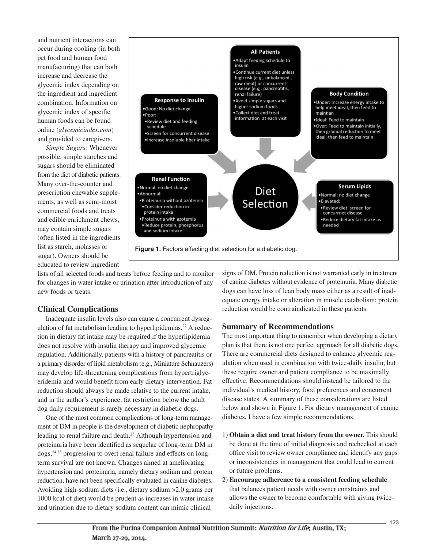and nutrient interactions can occur during cooking (in both pet food and human food manufacturing) that can both increase and decrease the glycemic index depending on the ingredient and ingredient combination. Information on glycemic index of specific human foods can be found online (*glycemicindex.com*) and provided to caregivers.

*Simple Sugars:* Whenever possible, simple starches and sugars should be eliminated from the diet of diabetic patients. Many over-the-counter and prescription chewable supplements, as well as semi-moist commercial foods and treats and edible enrichment chews, may contain simple sugars (often listed in the ingredients list as starch, molasses or sugar). Owners should be educated to review ingredient



lists of all selected foods and treats before feeding and to monitor for changes in water intake or urination after introduction of any new foods or treats.

## **Clinical Complications**

Inadequate insulin levels also can cause a concurrent dysregulation of fat metabolism leading to hyperlipidemias. <sup>22</sup> A reduction in dietary fat intake may be required if the hyperlipidemia does not resolve with insulin therapy and improved glycemic regulation. Additionally, patients with a history of pancreatitis or a primary disorder of lipid metabolism (e.g., Miniature Schnauzers) may develop life-threatening complications from hypertriglyceridemia and would benefit from early dietary intervention. Fat reduction should always be made relative to the current intake, and in the author's experience, fat restriction below the adult dog daily requirement is rarely necessary in diabetic dogs.

One of the most common complications of long-term management of DM in people is the development of diabetic nephropathy leading to renal failure and death. <sup>23</sup> Although hypertension and proteinuria have been identified as sequelae of long-term DM in dogs, 24,25 progression to overt renal failure and effects on longterm survival are not known. Changes aimed at ameliorating hypertension and proteinuria, namely dietary sodium and protein reduction, have not been specifically evaluated in canine diabetes. Avoiding high-sodium diets (i.e., dietary sodium >2.0 grams per 1000 kcal of diet) would be prudent as increases in water intake and urination due to dietary sodium content can mimic clinical

signs of DM. Protein reduction is not warranted early in treatment of canine diabetes without evidence of proteinuria. Many diabetic dogs can have loss of lean body mass either as a result of inadequate energy intake or alteration in muscle catabolism; protein reduction would be contraindicated in these patients.

## **Summary of Recommendations**

The most important thing to remember when developing a dietary plan is that there is not one perfect approach for all diabetic dogs. There are commercial diets designed to enhance glycemic regulation when used in combination with twice-daily insulin, but these require owner and patient compliance to be maximally effective. Recommendations should instead be tailored to the individual's medical history, food preferences and concurrent disease states. A summary of these considerations are listed below and shown in Figure 1. For dietary management of canine diabetes, I have a few simple recommendations.

- 1) **Obtain a diet and treat history from the owner.** This should be done at the time of initial diagnosis and rechecked at each office visit to review owner compliance and identify any gaps or inconsistencies in management that could lead to current or future problems.
- 2) **Encourage adherence to a consistent feeding schedule** that balances patient needs with owner constraints and allows the owner to become comfortable with giving twicedaily injections.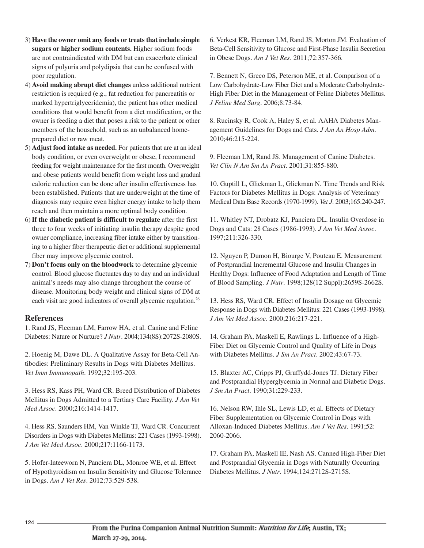- 3) **Have the owner omit any foods or treats that include simple sugars or higher sodium contents.** Higher sodium foods are not contraindicated with DM but can exacerbate clinical signs of polyuria and polydipsia that can be confused with poor regulation.
- 4) **Avoid making abrupt diet changes** unless additional nutrient restriction is required (e.g., fat reduction for pancreatitis or marked hypertriglyceridemia), the patient has other medical conditions that would benefit from a diet modification, or the owner is feeding a diet that poses a risk to the patient or other members of the household, such as an unbalanced homeprepared diet or raw meat.
- 5) **Adjust food intake as needed.** For patients that are at an ideal body condition, or even overweight or obese, I recommend feeding for weight maintenance for the first month. Overweight and obese patients would benefit from weight loss and gradual calorie reduction can be done after insulin effectiveness has been established. Patients that are underweight at the time of diagnosis may require even higher energy intake to help them reach and then maintain a more optimal body condition.
- 6)**If the diabetic patient is difficult to regulate** after the first three to four weeks of initiating insulin therapy despite good owner compliance, increasing fiber intake either by transitioning to a higher fiber therapeutic diet or additional supplemental fiber may improve glycemic control.
- 7) **Don't focus only on the bloodwork** to determine glycemic control. Blood glucose fluctuates day to day and an individual animal's needs may also change throughout the course of disease. Monitoring body weight and clinical signs of DM at each visit are good indicators of overall glycemic regulation. 26

### **References**

1. Rand JS, Fleeman LM, Farrow HA, et al. Canine and Feline Diabetes: Nature or Nurture? *J Nutr*. 2004;134(8S):2072S-2080S.

2. Hoenig M, Dawe DL. A Qualitative Assay for Beta-Cell Antibodies: Preliminary Results in Dogs with Diabetes Mellitus. *Vet Imm Immunopath*. 1992;32:195-203.

3. Hess RS, Kass PH, Ward CR. Breed Distribution of Diabetes Mellitus in Dogs Admitted to a Tertiary Care Facility. *J Am Vet Med Assoc*. 2000;216:1414-1417.

4. Hess RS, Saunders HM, Van Winkle TJ, Ward CR. Concurrent Disorders in Dogs with Diabetes Mellitus: 221 Cases (1993-1998). *J Am Vet Med Assoc*. 2000;217:1166-1173.

5. Hofer-Inteeworn N, Panciera DL, Monroe WE, et al. Effect of Hypothyroidism on Insulin Sensitivity and Glucose Tolerance in Dogs. *Am J Vet Res*. 2012;73:529-538.

6. Verkest KR, Fleeman LM, Rand JS, Morton JM. Evaluation of Beta-Cell Sensitivity to Glucose and First-Phase Insulin Secretion in Obese Dogs. *Am J Vet Res*. 2011;72:357-366.

7. Bennett N, Greco DS, Peterson ME, et al. Comparison of a Low Carbohydrate-Low Fiber Diet and a Moderate Carbohydrate-High Fiber Diet in the Management of Feline Diabetes Mellitus. *J Feline Med Surg*. 2006;8:73-84.

8. Rucinsky R, Cook A, Haley S, et al. AAHA Diabetes Management Guidelines for Dogs and Cats. *J Am An Hosp Adm*. 2010;46:215-224.

9. Fleeman LM, Rand JS. Management of Canine Diabetes. *Vet Clin N Am Sm An Pract*. 2001;31:855-880.

10. Guptill L, Glickman L, Glickman N. Time Trends and Risk Factors for Diabetes Mellitus in Dogs: Analysis of Veterinary Medical Data Base Records (1970-1999). *Vet J*. 2003;165:240-247.

11. Whitley NT, Drobatz KJ, Panciera DL. Insulin Overdose in Dogs and Cats: 28 Cases (1986-1993). *J Am Vet Med Assoc*. 1997;211:326-330.

12. Nguyen P, Dumon H, Biourge V, Pouteau E. Measurement of Postprandial Incremental Glucose and Insulin Changes in Healthy Dogs: Influence of Food Adaptation and Length of Time of Blood Sampling. *J Nutr*. 1998;128(12 Suppl):2659S-2662S.

13. Hess RS, Ward CR. Effect of Insulin Dosage on Glycemic Response in Dogs with Diabetes Mellitus: 221 Cases (1993-1998). *J Am Vet Med Assoc*. 2000;216:217-221.

14. Graham PA, Maskell E, Rawlings L. Influence of a High-Fiber Diet on Glycemic Control and Quality of Life in Dogs with Diabetes Mellitus. *J Sm An Pract*. 2002;43:67-73.

15. Blaxter AC, Cripps PJ, Gruffydd-Jones TJ. Dietary Fiber and Postprandial Hyperglycemia in Normal and Diabetic Dogs. *J Sm An Pract*. 1990;31:229-233.

16. Nelson RW, Ihle SL, Lewis LD, et al. Effects of Dietary Fiber Supplementation on Glycemic Control in Dogs with Alloxan-Induced Diabetes Mellitus. *Am J Vet Res*. 1991;52: 2060-2066.

17. Graham PA, Maskell IE, Nash AS. Canned High-Fiber Diet and Postprandial Glycemia in Dogs with Naturally Occurring Diabetes Mellitus. *J Nutr*. 1994;124:2712S-2715S.